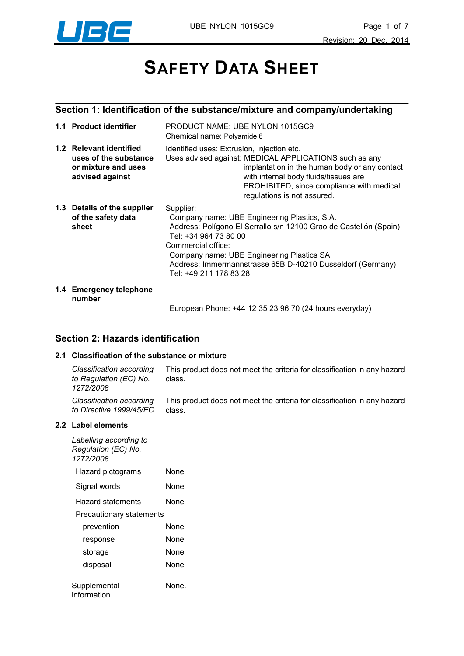

# **SAFETY DATA SHEET**

## **Section 1: Identification of the substance/mixture and company/undertaking**

| 1.1 Product identifier                                                                     | PRODUCT NAME: UBE NYLON 1015GC9<br>Chemical name: Polyamide 6                                                                                                                                                                                                                                                      |
|--------------------------------------------------------------------------------------------|--------------------------------------------------------------------------------------------------------------------------------------------------------------------------------------------------------------------------------------------------------------------------------------------------------------------|
| 1.2 Relevant identified<br>uses of the substance<br>or mixture and uses<br>advised against | Identified uses: Extrusion, Injection etc.<br>Uses advised against: MEDICAL APPLICATIONS such as any<br>implantation in the human body or any contact<br>with internal body fluids/tissues are<br>PROHIBITED, since compliance with medical<br>regulations is not assured.                                         |
| 1.3 Details of the supplier<br>of the safety data<br>sheet                                 | Supplier:<br>Company name: UBE Engineering Plastics, S.A.<br>Address: Polígono El Serrallo s/n 12100 Grao de Castellón (Spain)<br>Tel: +34 964 73 80 00<br>Commercial office:<br>Company name: UBE Engineering Plastics SA<br>Address: Immermannstrasse 65B D-40210 Dusseldorf (Germany)<br>Tel: +49 211 178 83 28 |
| 1.4 Emergency telephone                                                                    |                                                                                                                                                                                                                                                                                                                    |

**number**

European Phone: +44 12 35 23 96 70 (24 hours everyday)

#### **Section 2: Hazards identification**

#### **2.1 Classification of the substance or mixture**

*Classification according to Regulation (EC) No. 1272/2008* This product does not meet the criteria for classification in any hazard class. *Classification according to Directive 1999/45/EC* This product does not meet the criteria for classification in any hazard class.

#### **2.2 Label elements**

| Labelling according to<br>Regulation (EC) No.<br>1272/2008 |      |  |  |
|------------------------------------------------------------|------|--|--|
| Hazard pictograms                                          | None |  |  |
| Signal words                                               | None |  |  |
| Hazard statements                                          | None |  |  |
| <b>Precautionary statements</b>                            |      |  |  |
| prevention                                                 | None |  |  |
| response                                                   | None |  |  |
| storage                                                    | None |  |  |
| disposal                                                   | None |  |  |
| Supplemental<br>None.<br>information                       |      |  |  |
|                                                            |      |  |  |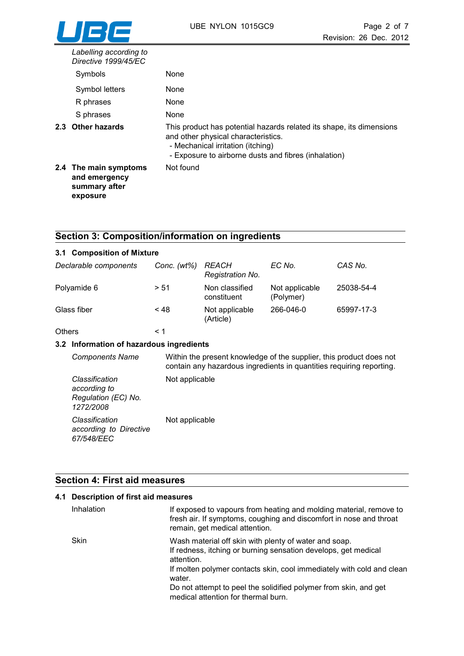| Labelling according to<br>Directive 1999/45/EC                      |                                                                                                                                                                                                          |
|---------------------------------------------------------------------|----------------------------------------------------------------------------------------------------------------------------------------------------------------------------------------------------------|
| Symbols                                                             | None                                                                                                                                                                                                     |
| Symbol letters                                                      | None                                                                                                                                                                                                     |
| R phrases                                                           | None                                                                                                                                                                                                     |
| S phrases                                                           | None                                                                                                                                                                                                     |
| 2.3 Other hazards                                                   | This product has potential hazards related its shape, its dimensions<br>and other physical characteristics.<br>- Mechanical irritation (itching)<br>- Exposure to airborne dusts and fibres (inhalation) |
| 2.4 The main symptoms<br>and emergency<br>summary after<br>exposure | Not found                                                                                                                                                                                                |

# **Section 3: Composition/information on ingredients**

| 3.1 Composition of Mixture |                |                                  |                             |            |
|----------------------------|----------------|----------------------------------|-----------------------------|------------|
| Declarable components      | Conc. $(wt\%)$ | <b>REACH</b><br>Registration No. | EC No.                      | CAS No.    |
| Polyamide 6                | > 51           | Non classified<br>constituent    | Not applicable<br>(Polymer) | 25038-54-4 |
| Glass fiber                | $~<$ 48        | Not applicable<br>(Article)      | 266-046-0                   | 65997-17-3 |
| <b>Others</b>              | < 1            |                                  |                             |            |

#### **3.2 Information of hazardous ingredients**

| <b>Components Name</b>                                             | Within the present knowledge of the supplier, this product does not<br>contain any hazardous ingredients in quantities requiring reporting. |
|--------------------------------------------------------------------|---------------------------------------------------------------------------------------------------------------------------------------------|
| Classification<br>according to<br>Regulation (EC) No.<br>1272/2008 | Not applicable                                                                                                                              |
| Classification<br>according to Directive<br>67/548/EEC             | Not applicable                                                                                                                              |

## **Section 4: First aid measures**

| 4.1 Description of first aid measures |                                                                                                                                                                            |  |
|---------------------------------------|----------------------------------------------------------------------------------------------------------------------------------------------------------------------------|--|
| Inhalation                            | If exposed to vapours from heating and molding material, remove to<br>fresh air. If symptoms, coughing and discomfort in nose and throat<br>remain, get medical attention. |  |
| <b>Skin</b>                           | Wash material off skin with plenty of water and soap.<br>If redness, itching or burning sensation develops, get medical<br>attention.                                      |  |
|                                       | If molten polymer contacts skin, cool immediately with cold and clean<br>water.                                                                                            |  |
|                                       | Do not attempt to peel the solidified polymer from skin, and get<br>medical attention for thermal burn.                                                                    |  |
|                                       |                                                                                                                                                                            |  |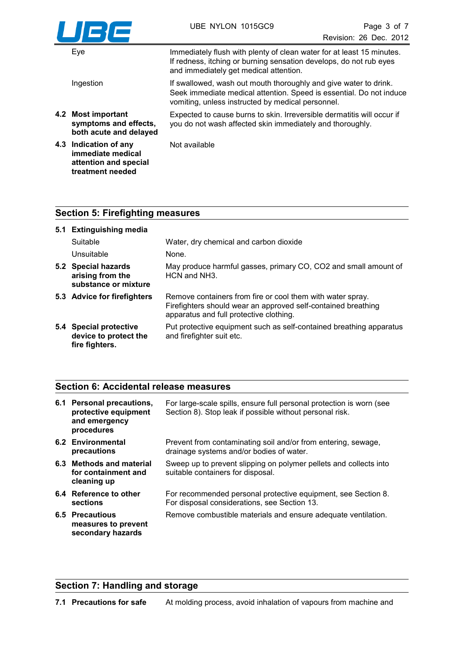

| Eye                                                                   | Immediately flush with plenty of clean water for at least 15 minutes.<br>If redness, itching or burning sensation develops, do not rub eyes<br>and immediately get medical attention.        |
|-----------------------------------------------------------------------|----------------------------------------------------------------------------------------------------------------------------------------------------------------------------------------------|
| Ingestion                                                             | If swallowed, wash out mouth thoroughly and give water to drink.<br>Seek immediate medical attention. Speed is essential. Do not induce<br>vomiting, unless instructed by medical personnel. |
| 4.2 Most important<br>symptoms and effects,<br>both acute and delayed | Expected to cause burns to skin. Irreversible dermatitis will occur if<br>you do not wash affected skin immediately and thoroughly.                                                          |
| 4.3 Indication of any<br>immediate medical                            | Not available                                                                                                                                                                                |

## **Section 5: Firefighting measures**

**attention and special treatment needed**

| 5.1 Extinguishing media                                           |                                                                                                                                                                        |
|-------------------------------------------------------------------|------------------------------------------------------------------------------------------------------------------------------------------------------------------------|
| Suitable                                                          | Water, dry chemical and carbon dioxide                                                                                                                                 |
| Unsuitable                                                        | None.                                                                                                                                                                  |
| 5.2 Special hazards<br>arising from the<br>substance or mixture   | May produce harmful gasses, primary CO, CO2 and small amount of<br>HCN and NH3.                                                                                        |
| 5.3 Advice for firefighters                                       | Remove containers from fire or cool them with water spray.<br>Firefighters should wear an approved self-contained breathing<br>apparatus and full protective clothing. |
| 5.4 Special protective<br>device to protect the<br>fire fighters. | Put protective equipment such as self-contained breathing apparatus<br>and firefighter suit etc.                                                                       |

#### **Section 6: Accidental release measures**

| 6.1 Personal precautions,<br>protective equipment<br>and emergency<br>procedures | For large-scale spills, ensure full personal protection is worn (see<br>Section 8). Stop leak if possible without personal risk. |
|----------------------------------------------------------------------------------|----------------------------------------------------------------------------------------------------------------------------------|
| 6.2 Environmental<br>precautions                                                 | Prevent from contaminating soil and/or from entering, sewage,<br>drainage systems and/or bodies of water.                        |
| 6.3 Methods and material<br>for containment and<br>cleaning up                   | Sweep up to prevent slipping on polymer pellets and collects into<br>suitable containers for disposal.                           |
| 6.4 Reference to other<br>sections                                               | For recommended personal protective equipment, see Section 8.<br>For disposal considerations, see Section 13.                    |
| 6.5 Precautious<br>measures to prevent<br>secondary hazards                      | Remove combustible materials and ensure adequate ventilation.                                                                    |

# **Section 7: Handling and storage**

**7.1 Precautions for safe** At molding process, avoid inhalation of vapours from machine and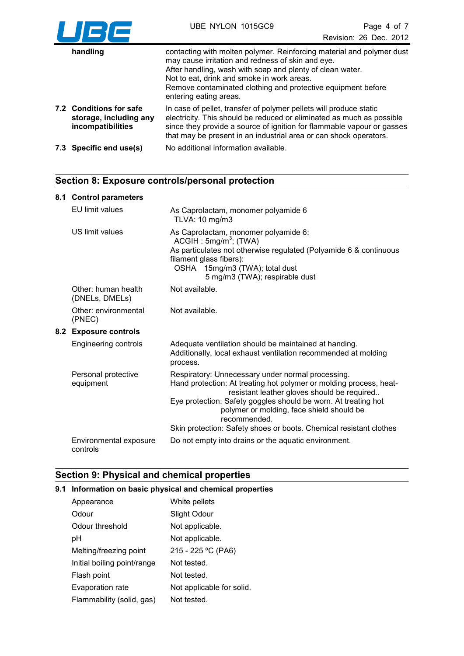

| handling                                                               | contacting with molten polymer. Reinforcing material and polymer dust<br>may cause irritation and redness of skin and eye.<br>After handling, wash with soap and plenty of clean water.<br>Not to eat, drink and smoke in work areas.<br>Remove contaminated clothing and protective equipment before<br>entering eating areas. |
|------------------------------------------------------------------------|---------------------------------------------------------------------------------------------------------------------------------------------------------------------------------------------------------------------------------------------------------------------------------------------------------------------------------|
| 7.2 Conditions for safe<br>storage, including any<br>incompatibilities | In case of pellet, transfer of polymer pellets will produce static<br>electricity. This should be reduced or eliminated as much as possible<br>since they provide a source of ignition for flammable vapour or gasses<br>that may be present in an industrial area or can shock operators.                                      |
| 7.3 Specific end use(s)                                                | No additional information available.                                                                                                                                                                                                                                                                                            |

## **Section 8: Exposure controls/personal protection**

#### **8.1 Control parameters**

|     | EU limit values                       | As Caprolactam, monomer polyamide 6<br>TLVA: 10 mg/m3                                                                                                                                                                                                                                                                                                                       |
|-----|---------------------------------------|-----------------------------------------------------------------------------------------------------------------------------------------------------------------------------------------------------------------------------------------------------------------------------------------------------------------------------------------------------------------------------|
|     | US limit values                       | As Caprolactam, monomer polyamide 6:<br>ACGIH : 5mg/m <sup>3</sup> ; (TWA)<br>As particulates not otherwise regulated (Polyamide 6 & continuous<br>filament glass fibers):<br>OSHA 15mg/m3 (TWA); total dust<br>5 mg/m3 (TWA); respirable dust                                                                                                                              |
|     | Other: human health<br>(DNELs, DMELs) | Not available.                                                                                                                                                                                                                                                                                                                                                              |
|     | Other: environmental<br>(PNEC)        | Not available.                                                                                                                                                                                                                                                                                                                                                              |
| 8.2 | <b>Exposure controls</b>              |                                                                                                                                                                                                                                                                                                                                                                             |
|     | <b>Engineering controls</b>           | Adequate ventilation should be maintained at handing.<br>Additionally, local exhaust ventilation recommended at molding<br>process.                                                                                                                                                                                                                                         |
|     | Personal protective<br>equipment      | Respiratory: Unnecessary under normal processing.<br>Hand protection: At treating hot polymer or molding process, heat-<br>resistant leather gloves should be required<br>Eye protection: Safety goggles should be worn. At treating hot<br>polymer or molding, face shield should be<br>recommended.<br>Skin protection: Safety shoes or boots. Chemical resistant clothes |
|     | Environmental exposure<br>controls    | Do not empty into drains or the aquatic environment.                                                                                                                                                                                                                                                                                                                        |

## **Section 9: Physical and chemical properties**

#### **9.1 Information on basic physical and chemical properties**

| Appearance                  | White pellets             |
|-----------------------------|---------------------------|
| Odour                       | Slight Odour              |
| Odour threshold             | Not applicable.           |
| pH                          | Not applicable.           |
| Melting/freezing point      | 215 - 225 °C (PA6)        |
| Initial boiling point/range | Not tested.               |
| Flash point                 | Not tested.               |
| Evaporation rate            | Not applicable for solid. |
| Flammability (solid, gas)   | Not tested.               |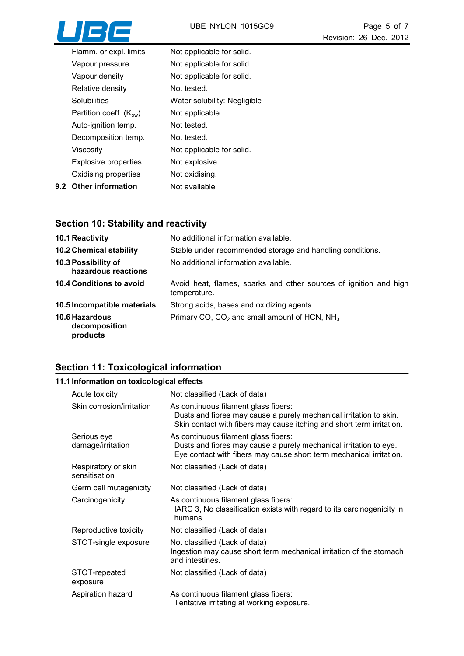

| Flamm. or expl. limits      | Not applicable for solid.    |
|-----------------------------|------------------------------|
| Vapour pressure             | Not applicable for solid.    |
| Vapour density              | Not applicable for solid.    |
| Relative density            | Not tested.                  |
| Solubilities                | Water solubility: Negligible |
| Partition coeff. $(K_{ow})$ | Not applicable.              |
| Auto-ignition temp.         | Not tested.                  |
| Decomposition temp.         | Not tested.                  |
| Viscositv                   | Not applicable for solid.    |
| <b>Explosive properties</b> | Not explosive.               |
| Oxidising properties        | Not oxidising.               |
| 9.2 Other information       | Not available                |

# **Section 10: Stability and reactivity**

| <b>10.1 Reactivity</b>                             | No additional information available.                                              |
|----------------------------------------------------|-----------------------------------------------------------------------------------|
| <b>10.2 Chemical stability</b>                     | Stable under recommended storage and handling conditions.                         |
| 10.3 Possibility of<br>hazardous reactions         | No additional information available.                                              |
| 10.4 Conditions to avoid                           | Avoid heat, flames, sparks and other sources of ignition and high<br>temperature. |
| 10.5 Incompatible materials                        | Strong acids, bases and oxidizing agents                                          |
| <b>10.6 Hazardous</b><br>decomposition<br>products | Primary CO, CO <sub>2</sub> and small amount of HCN, NH <sub>3</sub>              |

# **Section 11: Toxicological information**

### **11.1 Information on toxicological effects**

| Acute toxicity                       | Not classified (Lack of data)                                                                                                                                                       |
|--------------------------------------|-------------------------------------------------------------------------------------------------------------------------------------------------------------------------------------|
| Skin corrosion/irritation            | As continuous filament glass fibers:<br>Dusts and fibres may cause a purely mechanical irritation to skin.<br>Skin contact with fibers may cause itching and short term irritation. |
| Serious eye<br>damage/irritation     | As continuous filament glass fibers:<br>Dusts and fibres may cause a purely mechanical irritation to eye.<br>Eye contact with fibers may cause short term mechanical irritation.    |
| Respiratory or skin<br>sensitisation | Not classified (Lack of data)                                                                                                                                                       |
| Germ cell mutagenicity               | Not classified (Lack of data)                                                                                                                                                       |
| Carcinogenicity                      | As continuous filament glass fibers:<br>IARC 3, No classification exists with regard to its carcinogenicity in<br>humans.                                                           |
| Reproductive toxicity                | Not classified (Lack of data)                                                                                                                                                       |
| STOT-single exposure                 | Not classified (Lack of data)<br>Ingestion may cause short term mechanical irritation of the stomach<br>and intestines.                                                             |
| STOT-repeated<br>exposure            | Not classified (Lack of data)                                                                                                                                                       |
| Aspiration hazard                    | As continuous filament glass fibers:<br>Tentative irritating at working exposure.                                                                                                   |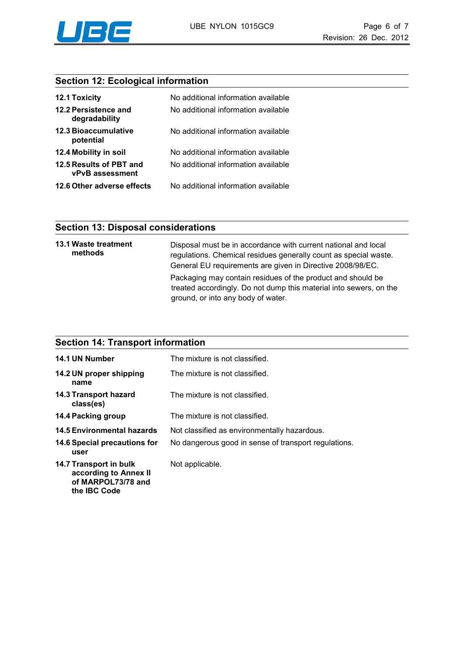

## **Section 12: Ecological information**

| <b>12.1 Toxicity</b>                       | No additional information available |
|--------------------------------------------|-------------------------------------|
| 12.2 Persistence and<br>degradability      | No additional information available |
| <b>12.3 Bioaccumulative</b><br>potential   | No additional information available |
| 12.4 Mobility in soil                      | No additional information available |
| 12.5 Results of PBT and<br>vPvB assessment | No additional information available |
| 12.6 Other adverse effects                 | No additional information available |

#### **Section 13: Disposal considerations**

**the IBC Code**

| 13.1 Waste treatment<br>methods | Disposal must be in accordance with current national and local<br>regulations. Chemical residues generally count as special waste.<br>General EU requirements are given in Directive 2008/98/EC. |
|---------------------------------|--------------------------------------------------------------------------------------------------------------------------------------------------------------------------------------------------|
|                                 | Packaging may contain residues of the product and should be<br>treated accordingly. Do not dump this material into sewers, on the<br>ground, or into any body of water.                          |

#### **Section 14: Transport information 14.1 UN Number** The mixture is not classified. **14.2 UN proper shipping name** The mixture is not classified. **14.3 Transport hazard class(es)** The mixture is not classified. **14.4 Packing group** The mixture is not classified. **14.5 Environmental hazards** Not classified as environmentally hazardous. **14.6 Special precautions for user** No dangerous good in sense of transport regulations. **14.7 Transport in bulk according to Annex II of MARPOL73/78 and**  Not applicable.